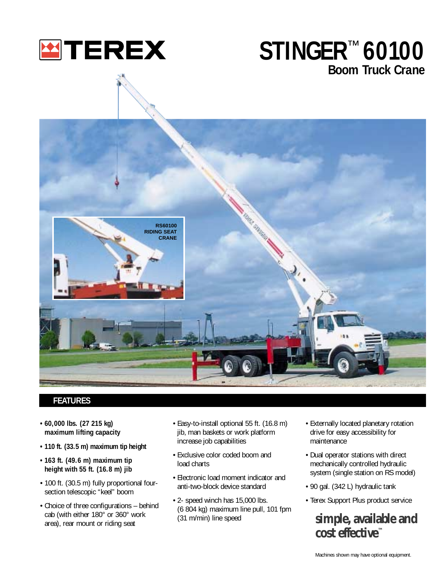

# **STINGER**™ **60100 Boom Truck Crane**



# **FEATURES**

- **• 60,000 lbs. (27 215 kg) maximum lifting capacity**
- **• 110 ft. (33.5 m) maximum tip height**
- **• 163 ft. (49.6 m) maximum tip height with 55 ft. (16.8 m) jib**
- 100 ft. (30.5 m) fully proportional foursection telescopic "keel" boom
- Choice of three configurations behind cab (with either 180° or 360° work area), rear mount or riding seat
- Easy-to-install optional 55 ft. (16.8 m) jib, man baskets or work platform increase job capabilities
- Exclusive color coded boom and load charts
- Electronic load moment indicator and anti-two-block device standard
- 2- speed winch has 15,000 lbs. (6 804 kg) maximum line pull, 101 fpm (31 m/min) line speed
- Externally located planetary rotation drive for easy accessibility for maintenance
- Dual operator stations with direct mechanically controlled hydraulic system (single station on RS model)
- 90 gal. (342 L) hydraulic tank
- Terex Support Plus product service

# **simple, available and cost effective™**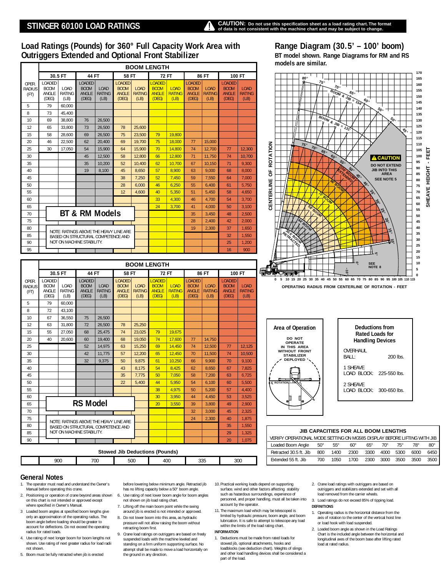# **Load Ratings (Pounds) for 360° Full Capacity Work Area with Outriggers Extended and Optional Front Stabilizer**

|                                | <b>BOOM LENGTH</b>                                                           |                        |                                         |                               |                                                       |                                |                                                       |                                      |                                                       |                               |                                                       |                                      |
|--------------------------------|------------------------------------------------------------------------------|------------------------|-----------------------------------------|-------------------------------|-------------------------------------------------------|--------------------------------|-------------------------------------------------------|--------------------------------------|-------------------------------------------------------|-------------------------------|-------------------------------------------------------|--------------------------------------|
|                                |                                                                              | 30.5 FT                |                                         | 44 FT                         |                                                       | 58 FT                          |                                                       | <b>72 FT</b>                         |                                                       | 86 FT                         |                                                       | 100 FT                               |
| OPFR.<br><b>RADIUS</b><br>(FT) | LOADED<br><b>BOOM</b><br>ANGLE<br>(DEG)                                      | LOAD<br>RATING<br>(LB) | LOADED<br><b>BOOM</b><br>ANGLE<br>(DEG) | LOAD<br><b>RATING</b><br>(LB) | <b>LOADED</b><br><b>BOOM</b><br><b>ANGLE</b><br>(DEG) | LOAD.<br><b>RATING</b><br>(LB) | <b>LOADED</b><br><b>BOOM</b><br><b>ANGLE</b><br>(DEG) | <b>LOAD</b><br><b>RATING</b><br>(LB) | <b>LOADED</b><br><b>BOOM</b><br><b>ANGLE</b><br>(DEG) | LOAD<br><b>RATING</b><br>(LB) | <b>LOADED</b><br><b>BOOM</b><br><b>ANGLE</b><br>(DEG) | <b>LOAD</b><br><b>RATING</b><br>(LB) |
| 5                              | 79                                                                           | 60.000                 |                                         |                               |                                                       |                                |                                                       |                                      |                                                       |                               |                                                       |                                      |
| 8                              | 73                                                                           | 45.400                 |                                         |                               |                                                       |                                |                                                       |                                      |                                                       |                               |                                                       |                                      |
| 10                             | 69                                                                           | 38.800                 | 76                                      | 26.500                        |                                                       |                                |                                                       |                                      |                                                       |                               |                                                       |                                      |
| 12                             | 65                                                                           | 33.800                 | 73                                      | 26.500                        | 78                                                    | 25,600                         |                                                       |                                      |                                                       |                               |                                                       |                                      |
| 15                             | 58                                                                           | 28,600                 | 69                                      | 26.500                        | 75                                                    | 23.500                         | 79                                                    | 19,800                               |                                                       |                               |                                                       |                                      |
| 20                             | 46                                                                           | 22.500                 | 62                                      | 20.400                        | 69                                                    | 19.700                         | 75                                                    | 18,000                               | 77                                                    | 15.000                        |                                                       |                                      |
| 25                             | 30                                                                           | 17.050                 | 54                                      | 15.900                        | 64                                                    | 15.900                         | 70                                                    | 14.800                               | 74                                                    | 12.700                        | 77                                                    | 12,300                               |
| 30                             |                                                                              |                        | 45                                      | 12,500                        | 58                                                    | 12,800                         | 66                                                    | 12,800                               | 71                                                    | 11.750                        | 74                                                    | 10,700                               |
| 35                             |                                                                              |                        | 35                                      | 10.200                        | 52                                                    | 10.400                         | 62                                                    | 10.700                               | 67                                                    | 10.150                        | 71                                                    | 9.300                                |
| 40                             |                                                                              |                        | 19                                      | 8.100                         | 45                                                    | 8.650                          | 57                                                    | 8.900                                | 63                                                    | 9.000                         | 68                                                    | 8.000                                |
| 45                             |                                                                              |                        |                                         |                               | 38                                                    | 7.250                          | 52                                                    | 7.450                                | 59                                                    | 7.550                         | 64                                                    | 7.000                                |
| 50                             |                                                                              |                        |                                         |                               | 28                                                    | 6.000                          | 46                                                    | 6.250                                | 55                                                    | 6.400                         | 61                                                    | 5.750                                |
| 55                             |                                                                              |                        |                                         |                               | 12                                                    | 4.600                          | 40                                                    | 5.350                                | 51                                                    | 5.450                         | 58                                                    | 4.650                                |
| 60                             |                                                                              |                        |                                         |                               |                                                       |                                | 33                                                    | 4.300                                | 46                                                    | 4.700                         | 54                                                    | 3,700                                |
| 65                             |                                                                              |                        |                                         |                               |                                                       |                                | 24                                                    | 3.700                                | 41                                                    | 4.000                         | 50                                                    | 3.100                                |
| 70                             |                                                                              |                        | <b>BT &amp; RM Models</b>               |                               |                                                       |                                |                                                       |                                      | 35                                                    | 3.450                         | 48                                                    | 2.500                                |
| 75                             |                                                                              |                        |                                         |                               |                                                       |                                |                                                       |                                      | 28                                                    | 2.400                         | 42                                                    | 2.000                                |
| 80                             | NOTE: RATINGS ABOVE THE HEAVY LINE ARE<br>BASED ON STRUCTURAL COMPETENCE AND |                        |                                         |                               |                                                       |                                | 19                                                    | 2.300                                | 37                                                    | 1.650                         |                                                       |                                      |
| 85                             |                                                                              |                        |                                         |                               |                                                       |                                |                                                       |                                      | 32                                                    | 1.550                         |                                                       |                                      |
| 90                             |                                                                              |                        | NOT ON MACHINE STABILITY.               |                               |                                                       |                                |                                                       |                                      |                                                       |                               | 25                                                    | 1.200                                |
| 95                             |                                                                              |                        |                                         |                               |                                                       |                                |                                                       |                                      |                                                       |                               | 16                                                    | 900                                  |

|                                | <b>BOOM LENGTH</b>                                                                                        |                                |                                                |                               |                                                       |                                |                                                       |                               |                                                       |                                |                                                       |                                |
|--------------------------------|-----------------------------------------------------------------------------------------------------------|--------------------------------|------------------------------------------------|-------------------------------|-------------------------------------------------------|--------------------------------|-------------------------------------------------------|-------------------------------|-------------------------------------------------------|--------------------------------|-------------------------------------------------------|--------------------------------|
|                                |                                                                                                           | 30.5 FT                        |                                                | 44 FT<br>58 FT                |                                                       |                                | <b>72 FT</b>                                          |                               | 86 FT                                                 |                                | 100 FT                                                |                                |
| OPFR.<br><b>RADIUS</b><br>(FT) | LOADED<br><b>BOOM</b><br>ANGLE<br>(DEG)                                                                   | LOAD.<br><b>RATING</b><br>(LB) | LOADED<br><b>BOOM</b><br><b>ANGLE</b><br>(DEG) | LOAD<br><b>RATING</b><br>(LB) | <b>LOADED</b><br><b>BOOM</b><br><b>ANGLE</b><br>(DEG) | LOAD.<br><b>RATING</b><br>(LB) | <b>LOADED</b><br><b>BOOM</b><br><b>ANGLE</b><br>(DEG) | 10AD<br><b>RATING</b><br>(LB) | <b>LOADED</b><br><b>BOOM</b><br><b>ANGLE</b><br>(DEG) | LOAD.<br><b>RATING</b><br>(LB) | <b>LOADED</b><br><b>BOOM</b><br><b>ANGLE</b><br>(DEG) | LOAD.<br><b>RATING</b><br>(LB) |
| 5                              | 79                                                                                                        | 60.000                         |                                                |                               |                                                       |                                |                                                       |                               |                                                       |                                |                                                       |                                |
| 8                              | 72                                                                                                        | 43.100                         |                                                |                               |                                                       |                                |                                                       |                               |                                                       |                                |                                                       |                                |
| 10                             | 67                                                                                                        | 36,550                         | 75                                             | 26,500                        |                                                       |                                |                                                       |                               |                                                       |                                |                                                       |                                |
| 12                             | 63                                                                                                        | 31.800                         | 72                                             | 26,500                        | 78                                                    | 25,250                         |                                                       |                               |                                                       |                                |                                                       |                                |
| 15                             | 55                                                                                                        | 27.050                         | 68                                             | 25,475                        | 74                                                    | 23.025                         | 79                                                    | 19.675                        |                                                       |                                |                                                       |                                |
| 20                             | 40                                                                                                        | 20.600                         | 60                                             | 19,400                        | 68                                                    | 19.050                         | 74                                                    | 17.600                        | 77                                                    | 14.750                         |                                                       |                                |
| 25                             |                                                                                                           |                                | 52                                             | 14.975                        | 63                                                    | 15.250                         | 69                                                    | 14.450                        | 74                                                    | 12.500                         | 77                                                    | 12,125                         |
| 30                             |                                                                                                           |                                | 42                                             | 11.775                        | 57                                                    | 12.200                         | 65                                                    | 12.450                        | 70                                                    | 11.500                         | 74                                                    | 10.500                         |
| 35                             |                                                                                                           |                                | 32                                             | 9.375                         | 50                                                    | 9.875                          | 61                                                    | 10.250                        | 66                                                    | 9.900                          | 70                                                    | 9.100                          |
| 40                             |                                                                                                           |                                |                                                |                               | 43                                                    | 8.175                          | 54                                                    | 8.425                         | 62                                                    | 8.650                          | 67                                                    | 7.825                          |
| 45                             |                                                                                                           |                                |                                                |                               | 35                                                    | 7.775                          | 50                                                    | 7.050                         | 58                                                    | 7.200                          | 63                                                    | 6.725                          |
| 50                             |                                                                                                           |                                |                                                |                               | 22                                                    | 5.400                          | 44                                                    | 5.950                         | 54                                                    | 6.100                          | 60                                                    | 5.500                          |
| 55                             |                                                                                                           |                                |                                                |                               |                                                       |                                | 38                                                    | 4.975                         | 50                                                    | 5,200                          | 57                                                    | 4.400                          |
| 60                             |                                                                                                           |                                |                                                |                               |                                                       |                                | 30                                                    | 3.950                         | 44                                                    | 4.450                          | 53                                                    | 3.525                          |
| 65                             | <b>RS Model</b>                                                                                           |                                |                                                |                               | 20                                                    | 3.550                          | 39                                                    | 3.800                         | 49                                                    | 2.900                          |                                                       |                                |
| 70                             |                                                                                                           |                                |                                                |                               |                                                       |                                |                                                       |                               | 32                                                    | 3.000                          | 45                                                    | 2.325                          |
| 75                             | NOTE: RATINGS ABOVE THE HEAVY LINE ARE<br>BASED ON STRUCTURAL COMPETENCE AND<br>NOT ON MACHINE STABILITY. |                                |                                                |                               |                                                       |                                | 24                                                    | 2.300                         | 40                                                    | 1.875                          |                                                       |                                |
| 80                             |                                                                                                           |                                |                                                |                               |                                                       |                                |                                                       |                               | 35                                                    | 1.550                          |                                                       |                                |
| 85                             |                                                                                                           |                                |                                                |                               |                                                       |                                |                                                       |                               | 29                                                    | 1,325                          |                                                       |                                |
| 90                             |                                                                                                           |                                |                                                |                               |                                                       |                                |                                                       |                               |                                                       |                                | 20                                                    | 1.075                          |

### **Stowed Jib Deductions (Pounds)**

| ∩∩ר<br>'UU<br>. | 700<br>υυ | 500 | U)(,<br>$\cdot$ - - | $\sim$ $\sim$ $\sim$<br>ບບບ | --- |
|-----------------|-----------|-----|---------------------|-----------------------------|-----|
|                 |           |     |                     |                             |     |

### **General Notes**

- 1. The operator must read and understand the Owner's Manual before operating this crane.
- 2. Positioning or operation of crane beyond areas shown 6. Use rating of next lower boom angle for boom angles on this chart is not intended or approved except where specified in Owner's Manual.
- 3 Loaded boom angles at specified boom lengths give only an approximation of the operating radius. The boom angle before loading should be greater to account for deflections. Do not exceed the operating radius for rated loads.
- 4. Use rating of next longer boom for boom lengths not shown. Use rating of next greater radius for load radii not shown.
- 5. Boom must be fully retracted when jib is erected

before lowering below minimum angle. Retracted jib has no lifting capacity below a 50° boom angle.

- not shown on jib load rating chart.
- 7. Lifting off the main boom point while the swing around jib is erected is not intended or approved. 8. Do not lower boom into this area, as hydraulic
	- pressure will not allow raising the boom without retracting boom first.
- 9. Crane load ratings on outriggers are based on freely suspended loads with the machine leveled and standing on a firm uniform supporting surface. No attempt shall be made to move a load horizontally on the ground in any direction.
- 10. Practical working loads depend on supporting surface, wind and other factors affecting stability such as hazardous surroundings, experience of personnel, and proper handling, must all be taken into account by the operator.
- 11. The maximum load which may be telescoped is limited by hydraulic pressure, boom angle, and boom lubrication. It is safe to attempt to telescope any load within the limits of the load rating chart.

# **INFORMATION**

1. Deductions must be made from rated loads for stowed jib, optional attachments, hooks and loadblocks (see deduction chart). Weights of slings and other load handling devices shall be considered a part of the load.

# **Range Diagram (30.5' – 100' boom)**

**BT model shown. Range Diagrams for RM and RS models are similar.**





| <b>Deductions from</b><br>Rated Loads for<br><b>Handling Devices</b> |                 |  |  |  |  |
|----------------------------------------------------------------------|-----------------|--|--|--|--|
| OVERHAUL<br>BAII                                                     | $200$ lbs       |  |  |  |  |
| 1 SHFAVF<br>LOAD BLOCK: 225-550 lbs                                  |                 |  |  |  |  |
| 2 SHEAVE<br>LOAD BLOCK .                                             | $300 - 650$ lbs |  |  |  |  |
|                                                                      |                 |  |  |  |  |

| <b>JIB CAPACITIES FOR ALL BOOM LENGTHS</b>                               |            |      |            |      |      |      |      |            |
|--------------------------------------------------------------------------|------------|------|------------|------|------|------|------|------------|
| VERIFY OPERATIONAL MODE SETTING ON MG585 DISPLAY BEFORE LIFTING WITH JIB |            |      |            |      |      |      |      |            |
| Loaded Boom Angle                                                        | $50^\circ$ | 55°  | $60^\circ$ | 65°  | 70°  | 75°  | 78°  | $80^\circ$ |
| Retracted 30.5 ft. Jib.                                                  | 800        | 1400 | 2300       | 3300 | 4000 | 5300 | 6000 | 6450       |
| Extended 55 ft. Jib                                                      | 700        | 1050 | 1700       | 2300 | 3000 | 3500 | 3500 | 3500       |

- 2. Crane load ratings with outriggers are based on outriggers and stabilizers extended and set with all load removed from the carrier wheels.
- 3. Load ratings do not exceed 85% of tipping load. **DEFINITIONS**
- 1. Operating radius is the horizontal distance from the axis of rotation to the center of the vertical hoist line or load hook with load suspended.
- 2. Loaded boom angle as shown in the Load Ratings Chart is the included angle between the horizontal and longitudinal axes of the boom base after lifting rated load at rated radius.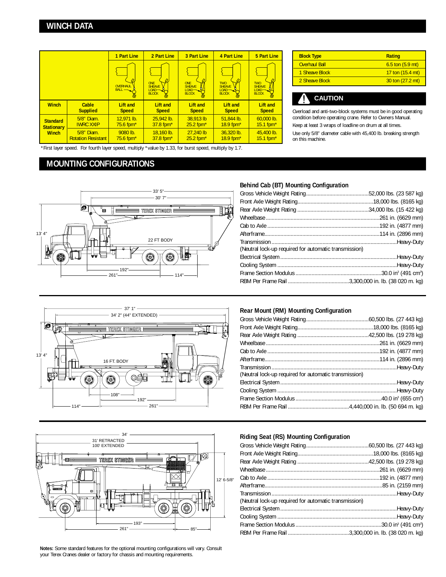|                   |                           | 1 Part Line              | 2 Part Line                                                | <b>3 Part Line</b>                                                  | 4 Part Line                                          | 5 Part Line                                             |
|-------------------|---------------------------|--------------------------|------------------------------------------------------------|---------------------------------------------------------------------|------------------------------------------------------|---------------------------------------------------------|
|                   |                           | D<br>OVERHAUL<br>$BAL -$ | <b>ONE</b><br><b>SHEAVE</b><br><b>LOAD</b><br><b>BLOCK</b> | $\Delta$<br><b>ONE</b><br><b>SHEAVE</b><br>$LOAD -$<br><b>BLOCK</b> | <b>TWO</b><br><b>SHEAVE</b><br>LOAD-<br><b>BLOCK</b> | <b>TWO</b><br><b>SHEAVE</b><br>$LOAD -$<br><b>BLOCK</b> |
| <b>Winch</b>      | Cable                     | <b>Lift and</b>          | <b>Lift and</b>                                            | <b>Lift and</b>                                                     | Lift and                                             | Lift and                                                |
|                   | <b>Supplied</b>           | <b>Speed</b>             | <b>Speed</b>                                               | <b>Speed</b>                                                        | <b>Speed</b>                                         | <b>Speed</b>                                            |
| <b>Standard</b>   | 5/8" Diam.                | $12.971$ lb.             | 25.942 lb.                                                 | 38.913 lb                                                           | 51.844 lb.                                           | 60.000 lb.                                              |
| <b>Stationary</b> | <b>IWRC XXIP</b>          | 75.6 fpm*                | 37.8 fpm*                                                  | $25.2$ fpm <sup>*</sup>                                             | $18.9~{\rm fm*}$                                     | $15.1$ fpm <sup>*</sup>                                 |
| <b>Winch</b>      | 5/8" Diam.                | $9080 h$ .               | 18.160 lb.                                                 | 27.240 lb                                                           | 36.320 lb.                                           | 45.400 lb.                                              |
|                   | <b>Rotation Resistant</b> | $75.6$ fpm <sup>*</sup>  | 37.8 fpm*                                                  | $25.2$ fpm <sup>*</sup>                                             | $18.9~{\rm fm*}$                                     | $15.1$ fpm $*$                                          |

| <b>Block Type</b>    | Rating               |
|----------------------|----------------------|
| <b>Overhaul Ball</b> | $6.5$ ton $(5.9$ mt) |
| 1 Sheave Block       | 17 ton (15.4 mt)     |
| 2 Sheave Block       | 30 ton (27.2 mt)     |

# **CAUTION**

Overload and anti-two-block systems must be in good operating condition before operating crane. Refer to Owners Manual.

Keep at least 3 wraps of loadline on drum at all times.

Use only 5/8" diameter cable with 45,400 lb. breaking strength on this machine.

\*First layer speed. For fourth layer speed, multiply \*value by 1.33, for burst speed, multiply by 1.7.

# **MOUNTING CONFIGURATIONS**



# **Behind Cab (BT) Mounting Configuration**

| (Neutral lock-up required for automatic transmission) |  |
|-------------------------------------------------------|--|
|                                                       |  |
|                                                       |  |
|                                                       |  |
|                                                       |  |





**Notes:** Some standard features for the optional mounting configurations will vary. Consult your Terex Cranes dealer or factory for chassis and mounting requirements.

# **Rear Mount (RM) Mounting Configuration**

| (Neutral lock-up required for automatic transmission) |  |
|-------------------------------------------------------|--|
|                                                       |  |
|                                                       |  |
|                                                       |  |
|                                                       |  |

# **Riding Seat (RS) Mounting Configuration**

| (Neutral lock-up required for automatic transmission) |  |
|-------------------------------------------------------|--|
|                                                       |  |
|                                                       |  |
|                                                       |  |
|                                                       |  |